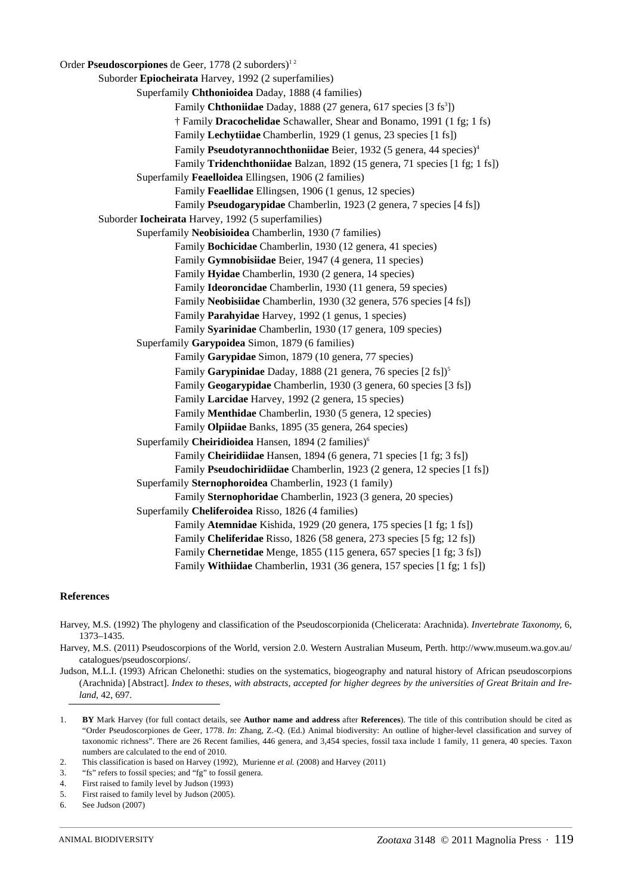Order **Pseudoscorpiones** de Geer, 1778 (2 suborders)<sup>12</sup> Suborder **Epiocheirata** Harvey, 1992 (2 superfamilies) Superfamily **Chthonioidea** Daday, 1888 (4 families) Family Chthoniidae Daday, 1888 (27 genera, 617 species [3 fs<sup>3</sup>]) † Family **Dracochelidae** Schawaller, Shear and Bonamo, 1991 (1 fg; 1 fs) Family **Lechytiidae** Chamberlin, 1929 (1 genus, 23 species [1 fs]) Family Pseudotyrannochthoniidae Beier, 1932 (5 genera, 44 species)<sup>4</sup> Family **Tridenchthoniidae** Balzan, 1892 (15 genera, 71 species [1 fg; 1 fs]) Superfamily **Feaelloidea** Ellingsen, 1906 (2 families) Family **Feaellidae** Ellingsen, 1906 (1 genus, 12 species) Family **Pseudogarypidae** Chamberlin, 1923 (2 genera, 7 species [4 fs]) Suborder **Iocheirata** Harvey, 1992 (5 superfamilies) Superfamily **Neobisioidea** Chamberlin, 1930 (7 families) Family **Bochicidae** Chamberlin, 1930 (12 genera, 41 species) Family **Gymnobisiidae** Beier, 1947 (4 genera, 11 species) Family **Hyidae** Chamberlin, 1930 (2 genera, 14 species) Family **Ideoroncidae** Chamberlin, 1930 (11 genera, 59 species) Family **Neobisiidae** Chamberlin, 1930 (32 genera, 576 species [4 fs]) Family **Parahyidae** Harvey, 1992 (1 genus, 1 species) Family **Syarinidae** Chamberlin, 1930 (17 genera, 109 species) Superfamily **Garypoidea** Simon, 1879 (6 families) Family **Garypidae** Simon, 1879 (10 genera, 77 species) Family **Garypinidae** Daday, 1888 (21 genera, 76 species [2 fs])<sup>5</sup> Family **Geogarypidae** Chamberlin, 1930 (3 genera, 60 species [3 fs]) Family **Larcidae** Harvey, 1992 (2 genera, 15 species) Family **Menthidae** Chamberlin, 1930 (5 genera, 12 species) Family **Olpiidae** Banks, 1895 (35 genera, 264 species) Superfamily **Cheiridioidea** Hansen, 1894 (2 families)<sup>6</sup> Family **Cheiridiidae** Hansen, 1894 (6 genera, 71 species [1 fg; 3 fs]) Family **Pseudochiridiidae** Chamberlin, 1923 (2 genera, 12 species [1 fs]) Superfamily **Sternophoroidea** Chamberlin, 1923 (1 family) Family **Sternophoridae** Chamberlin, 1923 (3 genera, 20 species) Superfamily **Cheliferoidea** Risso, 1826 (4 families) Family **Atemnidae** Kishida, 1929 (20 genera, 175 species [1 fg; 1 fs]) Family **Cheliferidae** Risso, 1826 (58 genera, 273 species [5 fg; 12 fs]) Family **Chernetidae** Menge, 1855 (115 genera, 657 species [1 fg; 3 fs]) Family **Withiidae** Chamberlin, 1931 (36 genera, 157 species [1 fg; 1 fs])

## **References**

- Harvey, M.S. (1992) The phylogeny and classification of the Pseudoscorpionida (Chelicerata: Arachnida). *Invertebrate Taxonomy*, 6, 1373–1435.
- Harvey, M.S. (2011) Pseudoscorpions of the World, version 2.0. Western Australian Museum, Perth. http://www.museum.wa.gov.au/ catalogues/pseudoscorpions/.
- Judson, M.L.I. (1993) African Chelonethi: studies on the systematics, biogeography and natural history of African pseudoscorpions (Arachnida) [Abstract]. *Index to theses, with abstracts, accepted for higher degrees by the universities of Great Britain and Ireland*, 42, 697.
- 1. **BY** Mark Harvey (for full contact details, see **Author name and address** after **References**). The title of this contribution should be cited as "Order Pseudoscorpiones de Geer, 1778. *In*: Zhang, Z.-Q. (Ed.) Animal biodiversity: An outline of higher-level classification and survey of taxonomic richness". There are 26 Recent families, 446 genera, and 3,454 species, fossil taxa include 1 family, 11 genera, 40 species. Taxon numbers are calculated to the end of 2010.
- 2. This classification is based on Harvey (1992), Murienne *et al.* (2008) and Harvey (2011)
- 3. "fs" refers to fossil species; and "fg" to fossil genera.
- 4. First raised to family level by Judson (1993)
- 5. First raised to family level by Judson (2005).

<sup>6.</sup> See Judson (2007)